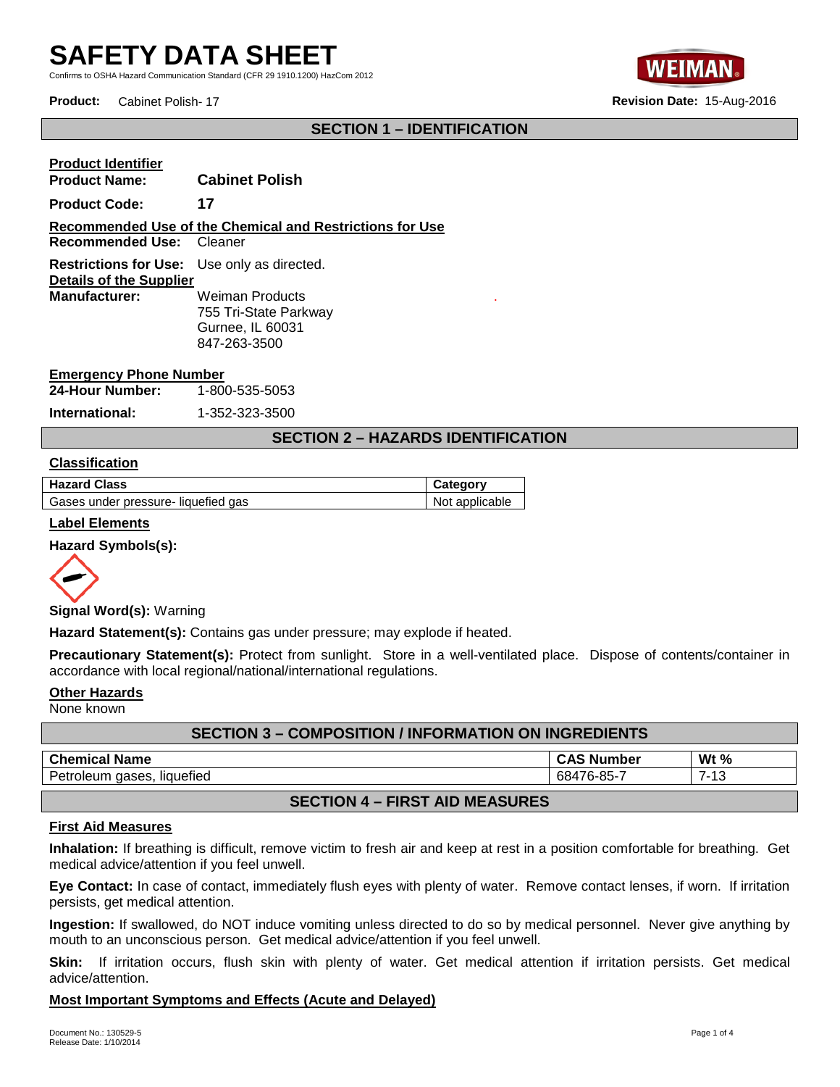Confirms to OSHA Hazard Communication Standard (CFR 29 1910.1200) HazCom 2012



**Product:** Cabinet Polish- 17 **Revision Date:** 15-Aug-2016

# **SECTION 1 – IDENTIFICATION**

# **Product Identifier**

**Product Name: Cabinet Polish Product Code: 17 Recommended Use of the Chemical and Restrictions for Use Recommended Use:** Cleaner **Restrictions for Use:** Use only as directed. **Details of the Supplier<br>Manufacturer: Weiman Products** 755 Tri-State Parkway Gurnee, IL 60031 847-263-3500

#### **Emergency Phone Number**

**24-Hour Number:** 1-800-535-5053

**International:** 1-352-323-3500

# **SECTION 2 – HAZARDS IDENTIFICATION**

.

#### **Classification**

| <b>Hazard Class</b>                 | Category       |
|-------------------------------------|----------------|
| Gases under pressure- liquefied gas | Not applicable |

#### **Label Elements**

#### **Hazard Symbols(s):**



**Signal Word(s):** Warning

**Hazard Statement(s):** Contains gas under pressure; may explode if heated.

**Precautionary Statement(s):** Protect from sunlight. Store in a well-ventilated place. Dispose of contents/container in accordance with local regional/national/international regulations.

# **Other Hazards**

None known

| <b>SECTION 3 - COMPOSITION / INFORMATION ON INGREDIENTS</b> |                   |        |
|-------------------------------------------------------------|-------------------|--------|
| <b>Chemical Name</b>                                        | <b>CAS Number</b> | Wt $%$ |
| Petroleum gases, liquefied                                  | 68476-85-7        | 7-13   |
|                                                             |                   |        |

# **SECTION 4 – FIRST AID MEASURES**

#### **First Aid Measures**

**Inhalation:** If breathing is difficult, remove victim to fresh air and keep at rest in a position comfortable for breathing. Get medical advice/attention if you feel unwell.

**Eye Contact:** In case of contact, immediately flush eyes with plenty of water. Remove contact lenses, if worn. If irritation persists, get medical attention.

**Ingestion:** If swallowed, do NOT induce vomiting unless directed to do so by medical personnel. Never give anything by mouth to an unconscious person. Get medical advice/attention if you feel unwell.

**Skin:** If irritation occurs, flush skin with plenty of water. Get medical attention if irritation persists. Get medical advice/attention.

#### **Most Important Symptoms and Effects (Acute and Delayed)**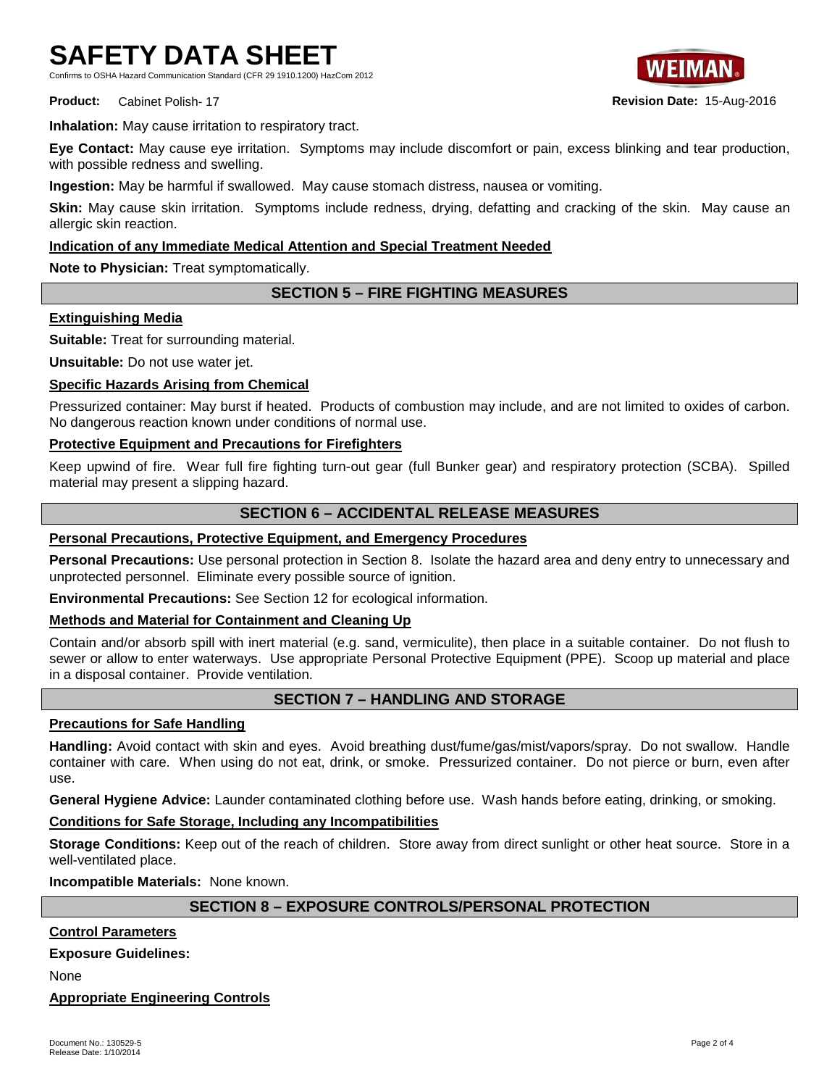Confirms to OSHA Hazard Communication Standard (CFR 29 1910.1200) HazCom 2012



**Product:** Cabinet Polish- 17 **Revision Date:** 15-Aug-2016

**Inhalation:** May cause irritation to respiratory tract.

**Eye Contact:** May cause eye irritation. Symptoms may include discomfort or pain, excess blinking and tear production, with possible redness and swelling.

**Ingestion:** May be harmful if swallowed. May cause stomach distress, nausea or vomiting.

**Skin:** May cause skin irritation. Symptoms include redness, drying, defatting and cracking of the skin. May cause an allergic skin reaction.

# **Indication of any Immediate Medical Attention and Special Treatment Needed**

**Note to Physician:** Treat symptomatically.

# **SECTION 5 – FIRE FIGHTING MEASURES**

# **Extinguishing Media**

**Suitable:** Treat for surrounding material.

**Unsuitable:** Do not use water jet.

## **Specific Hazards Arising from Chemical**

Pressurized container: May burst if heated. Products of combustion may include, and are not limited to oxides of carbon. No dangerous reaction known under conditions of normal use.

## **Protective Equipment and Precautions for Firefighters**

Keep upwind of fire. Wear full fire fighting turn-out gear (full Bunker gear) and respiratory protection (SCBA). Spilled material may present a slipping hazard.

# **SECTION 6 – ACCIDENTAL RELEASE MEASURES**

# **Personal Precautions, Protective Equipment, and Emergency Procedures**

**Personal Precautions:** Use personal protection in Section 8. Isolate the hazard area and deny entry to unnecessary and unprotected personnel. Eliminate every possible source of ignition.

**Environmental Precautions:** See Section 12 for ecological information.

## **Methods and Material for Containment and Cleaning Up**

Contain and/or absorb spill with inert material (e.g. sand, vermiculite), then place in a suitable container. Do not flush to sewer or allow to enter waterways. Use appropriate Personal Protective Equipment (PPE). Scoop up material and place in a disposal container. Provide ventilation.

# **SECTION 7 – HANDLING AND STORAGE**

## **Precautions for Safe Handling**

**Handling:** Avoid contact with skin and eyes. Avoid breathing dust/fume/gas/mist/vapors/spray. Do not swallow. Handle container with care. When using do not eat, drink, or smoke. Pressurized container. Do not pierce or burn, even after use.

**General Hygiene Advice:** Launder contaminated clothing before use. Wash hands before eating, drinking, or smoking.

# **Conditions for Safe Storage, Including any Incompatibilities**

**Storage Conditions:** Keep out of the reach of children. Store away from direct sunlight or other heat source. Store in a well-ventilated place.

**Incompatible Materials:** None known.

# **SECTION 8 – EXPOSURE CONTROLS/PERSONAL PROTECTION**

# **Control Parameters**

## **Exposure Guidelines:**

None

## **Appropriate Engineering Controls**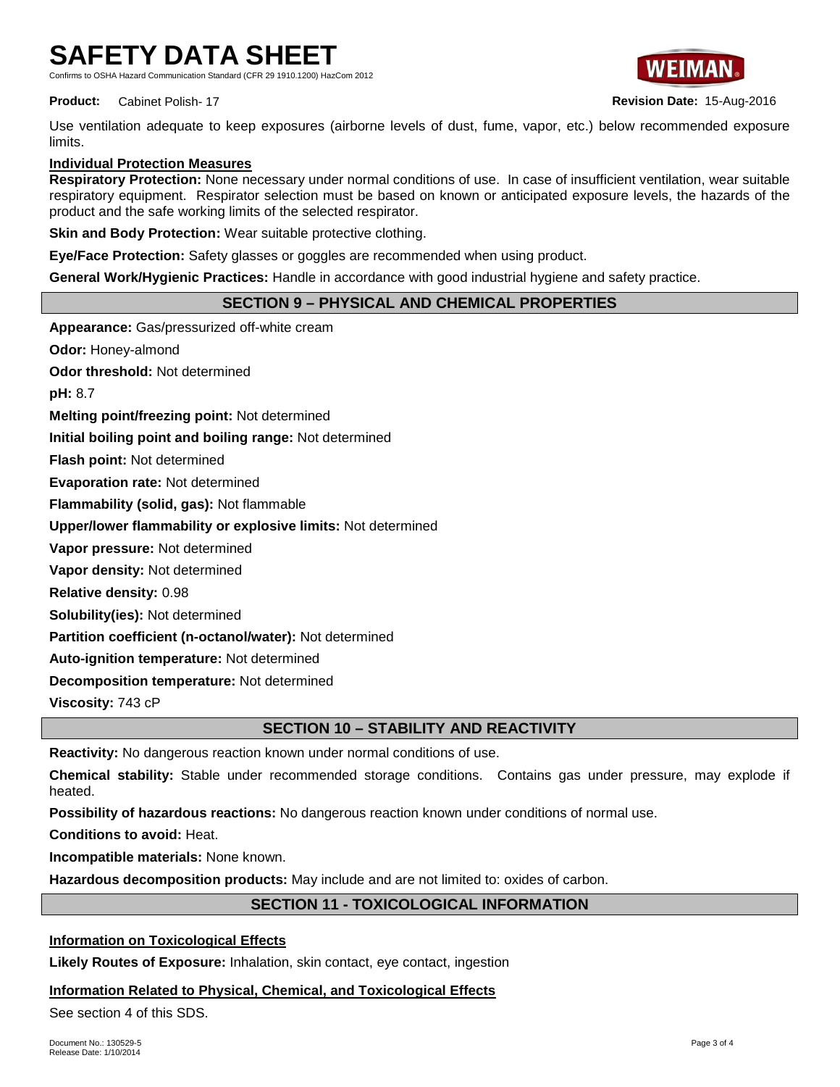Standard (CER 29 1910 1200) HazCom 2012



**Product:** Cabinet Polish- 17 **Revision Date:** 15-Aug-2016

Use ventilation adequate to keep exposures (airborne levels of dust, fume, vapor, etc.) below recommended exposure limits.

# **Individual Protection Measures**

**Respiratory Protection:** None necessary under normal conditions of use. In case of insufficient ventilation, wear suitable respiratory equipment. Respirator selection must be based on known or anticipated exposure levels, the hazards of the product and the safe working limits of the selected respirator.

**Skin and Body Protection:** Wear suitable protective clothing.

**Eye/Face Protection:** Safety glasses or goggles are recommended when using product.

**General Work/Hygienic Practices:** Handle in accordance with good industrial hygiene and safety practice.

# **SECTION 9 – PHYSICAL AND CHEMICAL PROPERTIES**

**Appearance:** Gas/pressurized off-white cream

**Odor:** Honey-almond

**Odor threshold:** Not determined

**pH:** 8.7

**Melting point/freezing point:** Not determined

**Initial boiling point and boiling range:** Not determined

**Flash point:** Not determined

**Evaporation rate:** Not determined

**Flammability (solid, gas):** Not flammable

**Upper/lower flammability or explosive limits:** Not determined

**Vapor pressure:** Not determined

**Vapor density:** Not determined

**Relative density:** 0.98

**Solubility(ies):** Not determined

**Partition coefficient (n-octanol/water):** Not determined

**Auto-ignition temperature:** Not determined

**Decomposition temperature:** Not determined

**Viscosity:** 743 cP

# **SECTION 10 – STABILITY AND REACTIVITY**

**Reactivity:** No dangerous reaction known under normal conditions of use.

**Chemical stability:** Stable under recommended storage conditions. Contains gas under pressure, may explode if heated.

**Possibility of hazardous reactions:** No dangerous reaction known under conditions of normal use.

**Conditions to avoid:** Heat.

**Incompatible materials:** None known.

**Hazardous decomposition products:** May include and are not limited to: oxides of carbon.

# **SECTION 11 - TOXICOLOGICAL INFORMATION**

# **Information on Toxicological Effects**

**Likely Routes of Exposure:** Inhalation, skin contact, eye contact, ingestion

# **Information Related to Physical, Chemical, and Toxicological Effects**

See section 4 of this SDS.